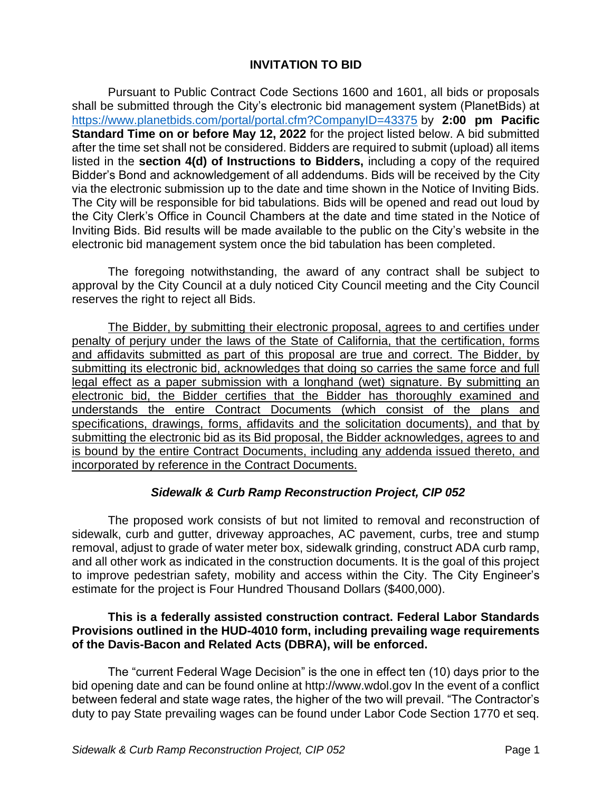## **INVITATION TO BID**

Pursuant to Public Contract Code Sections 1600 and 1601, all bids or proposals shall be submitted through the City's electronic bid management system (PlanetBids) at <https://www.planetbids.com/portal/portal.cfm?CompanyID=43375> by **2:00 pm Pacific Standard Time on or before May 12, 2022** for the project listed below. A bid submitted after the time set shall not be considered. Bidders are required to submit (upload) all items listed in the **section 4(d) of Instructions to Bidders,** including a copy of the required Bidder's Bond and acknowledgement of all addendums. Bids will be received by the City via the electronic submission up to the date and time shown in the Notice of Inviting Bids. The City will be responsible for bid tabulations. Bids will be opened and read out loud by the City Clerk's Office in Council Chambers at the date and time stated in the Notice of Inviting Bids. Bid results will be made available to the public on the City's website in the electronic bid management system once the bid tabulation has been completed.

The foregoing notwithstanding, the award of any contract shall be subject to approval by the City Council at a duly noticed City Council meeting and the City Council reserves the right to reject all Bids.

The Bidder, by submitting their electronic proposal, agrees to and certifies under penalty of perjury under the laws of the State of California, that the certification, forms and affidavits submitted as part of this proposal are true and correct. The Bidder, by submitting its electronic bid, acknowledges that doing so carries the same force and full legal effect as a paper submission with a longhand (wet) signature. By submitting an electronic bid, the Bidder certifies that the Bidder has thoroughly examined and understands the entire Contract Documents (which consist of the plans and specifications, drawings, forms, affidavits and the solicitation documents), and that by submitting the electronic bid as its Bid proposal, the Bidder acknowledges, agrees to and is bound by the entire Contract Documents, including any addenda issued thereto, and incorporated by reference in the Contract Documents.

## *Sidewalk & Curb Ramp Reconstruction Project, CIP 052*

The proposed work consists of but not limited to removal and reconstruction of sidewalk, curb and gutter, driveway approaches, AC pavement, curbs, tree and stump removal, adjust to grade of water meter box, sidewalk grinding, construct ADA curb ramp, and all other work as indicated in the construction documents. It is the goal of this project to improve pedestrian safety, mobility and access within the City. The City Engineer's estimate for the project is Four Hundred Thousand Dollars (\$400,000).

## **This is a federally assisted construction contract. Federal Labor Standards Provisions outlined in the HUD-4010 form, including prevailing wage requirements of the Davis-Bacon and Related Acts (DBRA), will be enforced.**

The "current Federal Wage Decision" is the one in effect ten (10) days prior to the bid opening date and can be found online at http://www.wdol.gov In the event of a conflict between federal and state wage rates, the higher of the two will prevail. "The Contractor's duty to pay State prevailing wages can be found under Labor Code Section 1770 et seq.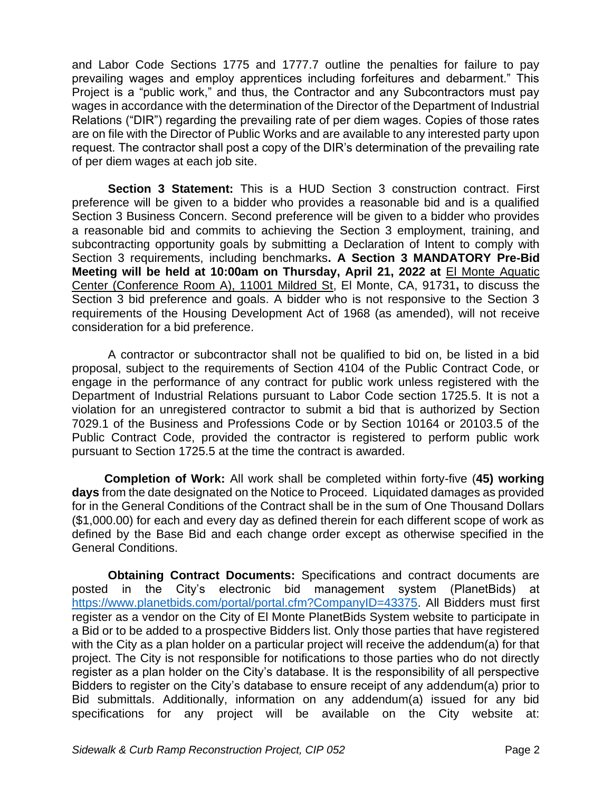and Labor Code Sections 1775 and 1777.7 outline the penalties for failure to pay prevailing wages and employ apprentices including forfeitures and debarment." This Project is a "public work," and thus, the Contractor and any Subcontractors must pay wages in accordance with the determination of the Director of the Department of Industrial Relations ("DIR") regarding the prevailing rate of per diem wages. Copies of those rates are on file with the Director of Public Works and are available to any interested party upon request. The contractor shall post a copy of the DIR's determination of the prevailing rate of per diem wages at each job site.

**Section 3 Statement:** This is a HUD Section 3 construction contract. First preference will be given to a bidder who provides a reasonable bid and is a qualified Section 3 Business Concern. Second preference will be given to a bidder who provides a reasonable bid and commits to achieving the Section 3 employment, training, and subcontracting opportunity goals by submitting a Declaration of Intent to comply with Section 3 requirements, including benchmarks**. A Section 3 MANDATORY Pre-Bid Meeting will be held at 10:00am on Thursday, April 21, 2022 at** El Monte Aquatic Center (Conference Room A), 11001 Mildred St, El Monte, CA, 91731**,** to discuss the Section 3 bid preference and goals. A bidder who is not responsive to the Section 3 requirements of the Housing Development Act of 1968 (as amended), will not receive consideration for a bid preference.

A contractor or subcontractor shall not be qualified to bid on, be listed in a bid proposal, subject to the requirements of Section 4104 of the Public Contract Code, or engage in the performance of any contract for public work unless registered with the Department of Industrial Relations pursuant to Labor Code section 1725.5. It is not a violation for an unregistered contractor to submit a bid that is authorized by Section 7029.1 of the Business and Professions Code or by Section 10164 or 20103.5 of the Public Contract Code, provided the contractor is registered to perform public work pursuant to Section 1725.5 at the time the contract is awarded.

**Completion of Work:** All work shall be completed within forty-five (**45) working days** from the date designated on the Notice to Proceed. Liquidated damages as provided for in the General Conditions of the Contract shall be in the sum of One Thousand Dollars (\$1,000.00) for each and every day as defined therein for each different scope of work as defined by the Base Bid and each change order except as otherwise specified in the General Conditions.

**Obtaining Contract Documents:** Specifications and contract documents are posted in the City's electronic bid management system (PlanetBids) at [https://www.planetbids.com/portal/portal.cfm?CompanyID=43375.](https://www.planetbids.com/portal/portal.cfm?CompanyID=43375) All Bidders must first register as a vendor on the City of El Monte PlanetBids System website to participate in a Bid or to be added to a prospective Bidders list. Only those parties that have registered with the City as a plan holder on a particular project will receive the addendum(a) for that project. The City is not responsible for notifications to those parties who do not directly register as a plan holder on the City's database. It is the responsibility of all perspective Bidders to register on the City's database to ensure receipt of any addendum(a) prior to Bid submittals. Additionally, information on any addendum(a) issued for any bid specifications for any project will be available on the City website at: